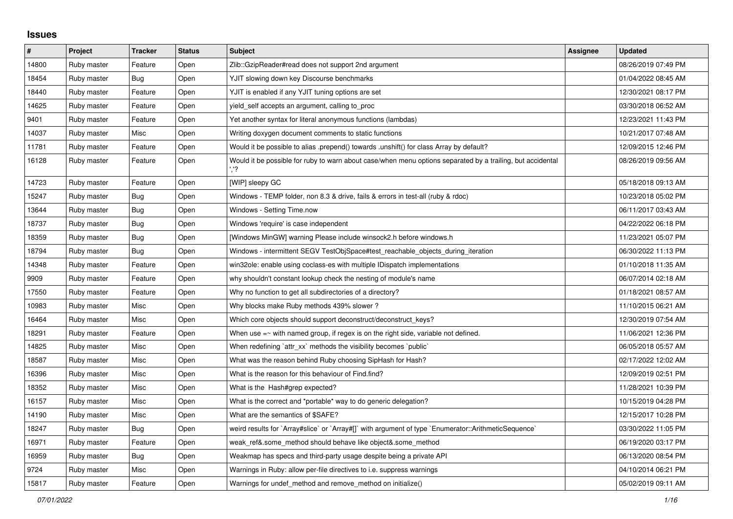## **Issues**

| $\vert$ # | Project     | <b>Tracker</b> | <b>Status</b> | <b>Subject</b>                                                                                             | <b>Assignee</b> | <b>Updated</b>      |
|-----------|-------------|----------------|---------------|------------------------------------------------------------------------------------------------------------|-----------------|---------------------|
| 14800     | Ruby master | Feature        | Open          | Zlib::GzipReader#read does not support 2nd argument                                                        |                 | 08/26/2019 07:49 PM |
| 18454     | Ruby master | Bug            | Open          | YJIT slowing down key Discourse benchmarks                                                                 |                 | 01/04/2022 08:45 AM |
| 18440     | Ruby master | Feature        | Open          | YJIT is enabled if any YJIT tuning options are set                                                         |                 | 12/30/2021 08:17 PM |
| 14625     | Ruby master | Feature        | Open          | yield self accepts an argument, calling to proc                                                            |                 | 03/30/2018 06:52 AM |
| 9401      | Ruby master | Feature        | Open          | Yet another syntax for literal anonymous functions (lambdas)                                               |                 | 12/23/2021 11:43 PM |
| 14037     | Ruby master | Misc           | Open          | Writing doxygen document comments to static functions                                                      |                 | 10/21/2017 07:48 AM |
| 11781     | Ruby master | Feature        | Open          | Would it be possible to alias .prepend() towards .unshift() for class Array by default?                    |                 | 12/09/2015 12:46 PM |
| 16128     | Ruby master | Feature        | Open          | Would it be possible for ruby to warn about case/when menu options separated by a trailing, but accidental |                 | 08/26/2019 09:56 AM |
| 14723     | Ruby master | Feature        | Open          | [WIP] sleepy GC                                                                                            |                 | 05/18/2018 09:13 AM |
| 15247     | Ruby master | Bug            | Open          | Windows - TEMP folder, non 8.3 & drive, fails & errors in test-all (ruby & rdoc)                           |                 | 10/23/2018 05:02 PM |
| 13644     | Ruby master | Bug            | Open          | Windows - Setting Time.now                                                                                 |                 | 06/11/2017 03:43 AM |
| 18737     | Ruby master | <b>Bug</b>     | Open          | Windows 'require' is case independent                                                                      |                 | 04/22/2022 06:18 PM |
| 18359     | Ruby master | Bug            | Open          | [Windows MinGW] warning Please include winsock2.h before windows.h                                         |                 | 11/23/2021 05:07 PM |
| 18794     | Ruby master | Bug            | Open          | Windows - intermittent SEGV TestObjSpace#test_reachable_objects_during_iteration                           |                 | 06/30/2022 11:13 PM |
| 14348     | Ruby master | Feature        | Open          | win32ole: enable using coclass-es with multiple IDispatch implementations                                  |                 | 01/10/2018 11:35 AM |
| 9909      | Ruby master | Feature        | Open          | why shouldn't constant lookup check the nesting of module's name                                           |                 | 06/07/2014 02:18 AM |
| 17550     | Ruby master | Feature        | Open          | Why no function to get all subdirectories of a directory?                                                  |                 | 01/18/2021 08:57 AM |
| 10983     | Ruby master | Misc           | Open          | Why blocks make Ruby methods 439% slower?                                                                  |                 | 11/10/2015 06:21 AM |
| 16464     | Ruby master | Misc           | Open          | Which core objects should support deconstruct/deconstruct keys?                                            |                 | 12/30/2019 07:54 AM |
| 18291     | Ruby master | Feature        | Open          | When use $=\sim$ with named group, if regex is on the right side, variable not defined.                    |                 | 11/06/2021 12:36 PM |
| 14825     | Ruby master | Misc           | Open          | When redefining `attr_xx` methods the visibility becomes `public`                                          |                 | 06/05/2018 05:57 AM |
| 18587     | Ruby master | Misc           | Open          | What was the reason behind Ruby choosing SipHash for Hash?                                                 |                 | 02/17/2022 12:02 AM |
| 16396     | Ruby master | Misc           | Open          | What is the reason for this behaviour of Find.find?                                                        |                 | 12/09/2019 02:51 PM |
| 18352     | Ruby master | Misc           | Open          | What is the Hash#grep expected?                                                                            |                 | 11/28/2021 10:39 PM |
| 16157     | Ruby master | Misc           | Open          | What is the correct and *portable* way to do generic delegation?                                           |                 | 10/15/2019 04:28 PM |
| 14190     | Ruby master | Misc           | Open          | What are the semantics of \$SAFE?                                                                          |                 | 12/15/2017 10:28 PM |
| 18247     | Ruby master | <b>Bug</b>     | Open          | weird results for `Array#slice` or `Array#[]` with argument of type `Enumerator::ArithmeticSequence`       |                 | 03/30/2022 11:05 PM |
| 16971     | Ruby master | Feature        | Open          | weak ref&.some method should behave like object&.some method                                               |                 | 06/19/2020 03:17 PM |
| 16959     | Ruby master | Bug            | Open          | Weakmap has specs and third-party usage despite being a private API                                        |                 | 06/13/2020 08:54 PM |
| 9724      | Ruby master | Misc           | Open          | Warnings in Ruby: allow per-file directives to i.e. suppress warnings                                      |                 | 04/10/2014 06:21 PM |
| 15817     | Ruby master | Feature        | Open          | Warnings for undef method and remove method on initialize()                                                |                 | 05/02/2019 09:11 AM |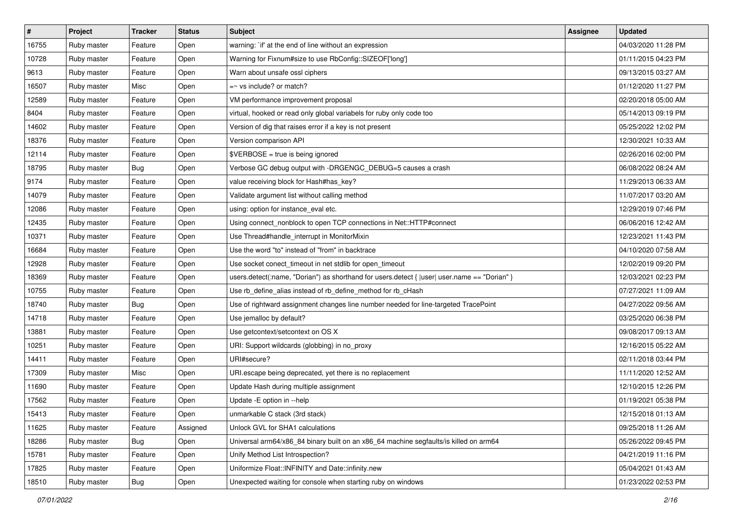| $\vert$ # | Project     | <b>Tracker</b> | <b>Status</b> | <b>Subject</b>                                                                                 | <b>Assignee</b> | <b>Updated</b>      |
|-----------|-------------|----------------|---------------|------------------------------------------------------------------------------------------------|-----------------|---------------------|
| 16755     | Ruby master | Feature        | Open          | warning: `if' at the end of line without an expression                                         |                 | 04/03/2020 11:28 PM |
| 10728     | Ruby master | Feature        | Open          | Warning for Fixnum#size to use RbConfig::SIZEOF['long']                                        |                 | 01/11/2015 04:23 PM |
| 9613      | Ruby master | Feature        | Open          | Warn about unsafe ossl ciphers                                                                 |                 | 09/13/2015 03:27 AM |
| 16507     | Ruby master | Misc           | Open          | $=$ vs include? or match?                                                                      |                 | 01/12/2020 11:27 PM |
| 12589     | Ruby master | Feature        | Open          | VM performance improvement proposal                                                            |                 | 02/20/2018 05:00 AM |
| 8404      | Ruby master | Feature        | Open          | virtual, hooked or read only global variabels for ruby only code too                           |                 | 05/14/2013 09:19 PM |
| 14602     | Ruby master | Feature        | Open          | Version of dig that raises error if a key is not present                                       |                 | 05/25/2022 12:02 PM |
| 18376     | Ruby master | Feature        | Open          | Version comparison API                                                                         |                 | 12/30/2021 10:33 AM |
| 12114     | Ruby master | Feature        | Open          | \$VERBOSE = true is being ignored                                                              |                 | 02/26/2016 02:00 PM |
| 18795     | Ruby master | Bug            | Open          | Verbose GC debug output with -DRGENGC_DEBUG=5 causes a crash                                   |                 | 06/08/2022 08:24 AM |
| 9174      | Ruby master | Feature        | Open          | value receiving block for Hash#has_key?                                                        |                 | 11/29/2013 06:33 AM |
| 14079     | Ruby master | Feature        | Open          | Validate argument list without calling method                                                  |                 | 11/07/2017 03:20 AM |
| 12086     | Ruby master | Feature        | Open          | using: option for instance_eval etc.                                                           |                 | 12/29/2019 07:46 PM |
| 12435     | Ruby master | Feature        | Open          | Using connect_nonblock to open TCP connections in Net::HTTP#connect                            |                 | 06/06/2016 12:42 AM |
| 10371     | Ruby master | Feature        | Open          | Use Thread#handle_interrupt in MonitorMixin                                                    |                 | 12/23/2021 11:43 PM |
| 16684     | Ruby master | Feature        | Open          | Use the word "to" instead of "from" in backtrace                                               |                 | 04/10/2020 07:58 AM |
| 12928     | Ruby master | Feature        | Open          | Use socket conect_timeout in net stdlib for open_timeout                                       |                 | 12/02/2019 09:20 PM |
| 18369     | Ruby master | Feature        | Open          | users.detect(:name, "Dorian") as shorthand for users.detect { $ user $ user.name == "Dorian" } |                 | 12/03/2021 02:23 PM |
| 10755     | Ruby master | Feature        | Open          | Use rb_define_alias instead of rb_define_method for rb_cHash                                   |                 | 07/27/2021 11:09 AM |
| 18740     | Ruby master | Bug            | Open          | Use of rightward assignment changes line number needed for line-targeted TracePoint            |                 | 04/27/2022 09:56 AM |
| 14718     | Ruby master | Feature        | Open          | Use jemalloc by default?                                                                       |                 | 03/25/2020 06:38 PM |
| 13881     | Ruby master | Feature        | Open          | Use getcontext/setcontext on OS X                                                              |                 | 09/08/2017 09:13 AM |
| 10251     | Ruby master | Feature        | Open          | URI: Support wildcards (globbing) in no_proxy                                                  |                 | 12/16/2015 05:22 AM |
| 14411     | Ruby master | Feature        | Open          | URI#secure?                                                                                    |                 | 02/11/2018 03:44 PM |
| 17309     | Ruby master | Misc           | Open          | URI escape being deprecated, yet there is no replacement                                       |                 | 11/11/2020 12:52 AM |
| 11690     | Ruby master | Feature        | Open          | Update Hash during multiple assignment                                                         |                 | 12/10/2015 12:26 PM |
| 17562     | Ruby master | Feature        | Open          | Update - E option in -- help                                                                   |                 | 01/19/2021 05:38 PM |
| 15413     | Ruby master | Feature        | Open          | unmarkable C stack (3rd stack)                                                                 |                 | 12/15/2018 01:13 AM |
| 11625     | Ruby master | Feature        | Assigned      | Unlock GVL for SHA1 calculations                                                               |                 | 09/25/2018 11:26 AM |
| 18286     | Ruby master | Bug            | Open          | Universal arm64/x86_84 binary built on an x86_64 machine segfaults/is killed on arm64          |                 | 05/26/2022 09:45 PM |
| 15781     | Ruby master | Feature        | Open          | Unify Method List Introspection?                                                               |                 | 04/21/2019 11:16 PM |
| 17825     | Ruby master | Feature        | Open          | Uniformize Float::INFINITY and Date::infinity.new                                              |                 | 05/04/2021 01:43 AM |
| 18510     | Ruby master | <b>Bug</b>     | Open          | Unexpected waiting for console when starting ruby on windows                                   |                 | 01/23/2022 02:53 PM |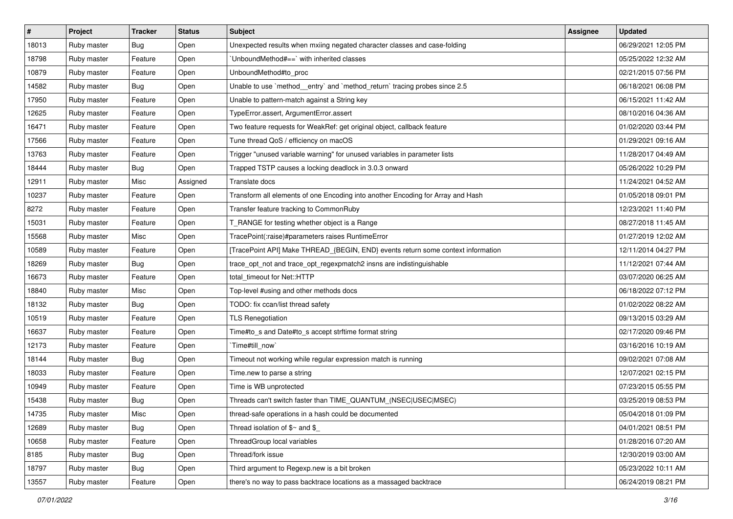| #     | Project     | <b>Tracker</b> | <b>Status</b> | <b>Subject</b>                                                                   | <b>Assignee</b> | <b>Updated</b>      |
|-------|-------------|----------------|---------------|----------------------------------------------------------------------------------|-----------------|---------------------|
| 18013 | Ruby master | Bug            | Open          | Unexpected results when mxiing negated character classes and case-folding        |                 | 06/29/2021 12:05 PM |
| 18798 | Ruby master | Feature        | Open          | UnboundMethod#==`with inherited classes                                          |                 | 05/25/2022 12:32 AM |
| 10879 | Ruby master | Feature        | Open          | UnboundMethod#to_proc                                                            |                 | 02/21/2015 07:56 PM |
| 14582 | Ruby master | Bug            | Open          | Unable to use `method_entry` and `method_return` tracing probes since 2.5        |                 | 06/18/2021 06:08 PM |
| 17950 | Ruby master | Feature        | Open          | Unable to pattern-match against a String key                                     |                 | 06/15/2021 11:42 AM |
| 12625 | Ruby master | Feature        | Open          | TypeError.assert, ArgumentError.assert                                           |                 | 08/10/2016 04:36 AM |
| 16471 | Ruby master | Feature        | Open          | Two feature requests for WeakRef: get original object, callback feature          |                 | 01/02/2020 03:44 PM |
| 17566 | Ruby master | Feature        | Open          | Tune thread QoS / efficiency on macOS                                            |                 | 01/29/2021 09:16 AM |
| 13763 | Ruby master | Feature        | Open          | Trigger "unused variable warning" for unused variables in parameter lists        |                 | 11/28/2017 04:49 AM |
| 18444 | Ruby master | <b>Bug</b>     | Open          | Trapped TSTP causes a locking deadlock in 3.0.3 onward                           |                 | 05/26/2022 10:29 PM |
| 12911 | Ruby master | Misc           | Assigned      | Translate docs                                                                   |                 | 11/24/2021 04:52 AM |
| 10237 | Ruby master | Feature        | Open          | Transform all elements of one Encoding into another Encoding for Array and Hash  |                 | 01/05/2018 09:01 PM |
| 8272  | Ruby master | Feature        | Open          | Transfer feature tracking to CommonRuby                                          |                 | 12/23/2021 11:40 PM |
| 15031 | Ruby master | Feature        | Open          | T_RANGE for testing whether object is a Range                                    |                 | 08/27/2018 11:45 AM |
| 15568 | Ruby master | Misc           | Open          | TracePoint(:raise)#parameters raises RuntimeError                                |                 | 01/27/2019 12:02 AM |
| 10589 | Ruby master | Feature        | Open          | [TracePoint API] Make THREAD_{BEGIN, END} events return some context information |                 | 12/11/2014 04:27 PM |
| 18269 | Ruby master | <b>Bug</b>     | Open          | trace_opt_not and trace_opt_regexpmatch2 insns are indistinguishable             |                 | 11/12/2021 07:44 AM |
| 16673 | Ruby master | Feature        | Open          | total timeout for Net::HTTP                                                      |                 | 03/07/2020 06:25 AM |
| 18840 | Ruby master | Misc           | Open          | Top-level #using and other methods docs                                          |                 | 06/18/2022 07:12 PM |
| 18132 | Ruby master | Bug            | Open          | TODO: fix ccan/list thread safety                                                |                 | 01/02/2022 08:22 AM |
| 10519 | Ruby master | Feature        | Open          | <b>TLS Renegotiation</b>                                                         |                 | 09/13/2015 03:29 AM |
| 16637 | Ruby master | Feature        | Open          | Time#to_s and Date#to_s accept strftime format string                            |                 | 02/17/2020 09:46 PM |
| 12173 | Ruby master | Feature        | Open          | Time#till_now`                                                                   |                 | 03/16/2016 10:19 AM |
| 18144 | Ruby master | Bug            | Open          | Timeout not working while regular expression match is running                    |                 | 09/02/2021 07:08 AM |
| 18033 | Ruby master | Feature        | Open          | Time.new to parse a string                                                       |                 | 12/07/2021 02:15 PM |
| 10949 | Ruby master | Feature        | Open          | Time is WB unprotected                                                           |                 | 07/23/2015 05:55 PM |
| 15438 | Ruby master | <b>Bug</b>     | Open          | Threads can't switch faster than TIME_QUANTUM_(NSEC USEC MSEC)                   |                 | 03/25/2019 08:53 PM |
| 14735 | Ruby master | Misc           | Open          | thread-safe operations in a hash could be documented                             |                 | 05/04/2018 01:09 PM |
| 12689 | Ruby master | Bug            | Open          | Thread isolation of $$~$ and \$                                                  |                 | 04/01/2021 08:51 PM |
| 10658 | Ruby master | Feature        | Open          | ThreadGroup local variables                                                      |                 | 01/28/2016 07:20 AM |
| 8185  | Ruby master | <b>Bug</b>     | Open          | Thread/fork issue                                                                |                 | 12/30/2019 03:00 AM |
| 18797 | Ruby master | Bug            | Open          | Third argument to Regexp.new is a bit broken                                     |                 | 05/23/2022 10:11 AM |
| 13557 | Ruby master | Feature        | Open          | there's no way to pass backtrace locations as a massaged backtrace               |                 | 06/24/2019 08:21 PM |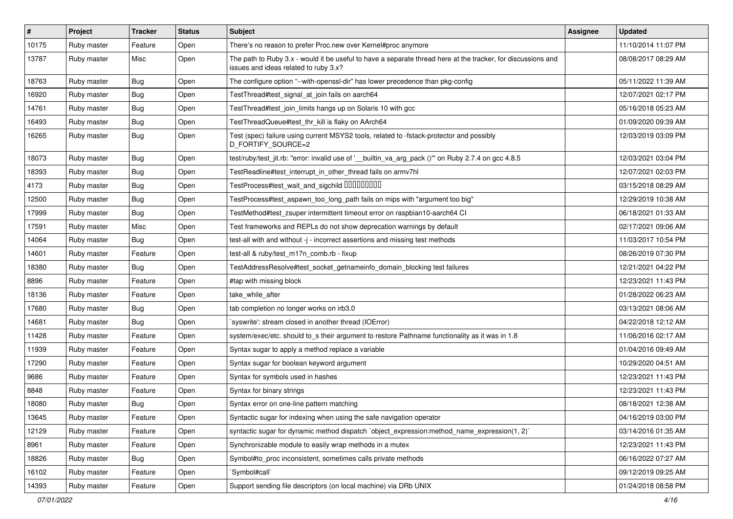| $\vert$ # | Project     | <b>Tracker</b> | <b>Status</b> | Subject                                                                                                                                               | Assignee | <b>Updated</b>      |
|-----------|-------------|----------------|---------------|-------------------------------------------------------------------------------------------------------------------------------------------------------|----------|---------------------|
| 10175     | Ruby master | Feature        | Open          | There's no reason to prefer Proc.new over Kernel#proc anymore                                                                                         |          | 11/10/2014 11:07 PM |
| 13787     | Ruby master | Misc           | Open          | The path to Ruby 3.x - would it be useful to have a separate thread here at the tracker, for discussions and<br>issues and ideas related to ruby 3.x? |          | 08/08/2017 08:29 AM |
| 18763     | Ruby master | Bug            | Open          | The configure option "--with-openssl-dir" has lower precedence than pkg-config                                                                        |          | 05/11/2022 11:39 AM |
| 16920     | Ruby master | Bug            | Open          | TestThread#test_signal_at_join fails on aarch64                                                                                                       |          | 12/07/2021 02:17 PM |
| 14761     | Ruby master | <b>Bug</b>     | Open          | TestThread#test_join_limits hangs up on Solaris 10 with gcc                                                                                           |          | 05/16/2018 05:23 AM |
| 16493     | Ruby master | <b>Bug</b>     | Open          | TestThreadQueue#test_thr_kill is flaky on AArch64                                                                                                     |          | 01/09/2020 09:39 AM |
| 16265     | Ruby master | Bug            | Open          | Test (spec) failure using current MSYS2 tools, related to -fstack-protector and possibly<br>D FORTIFY SOURCE=2                                        |          | 12/03/2019 03:09 PM |
| 18073     | Ruby master | Bug            | Open          | test/ruby/test_jit.rb: "error: invalid use of '__builtin_va_arg_pack ()" on Ruby 2.7.4 on gcc 4.8.5                                                   |          | 12/03/2021 03:04 PM |
| 18393     | Ruby master | <b>Bug</b>     | Open          | TestReadline#test_interrupt_in_other_thread fails on armv7hl                                                                                          |          | 12/07/2021 02:03 PM |
| 4173      | Ruby master | Bug            | Open          | TestProcess#test_wait_and_sigchild DDDDDDDD                                                                                                           |          | 03/15/2018 08:29 AM |
| 12500     | Ruby master | <b>Bug</b>     | Open          | TestProcess#test_aspawn_too_long_path fails on mips with "argument too big"                                                                           |          | 12/29/2019 10:38 AM |
| 17999     | Ruby master | <b>Bug</b>     | Open          | TestMethod#test_zsuper intermittent timeout error on raspbian10-aarch64 CI                                                                            |          | 06/18/2021 01:33 AM |
| 17591     | Ruby master | Misc           | Open          | Test frameworks and REPLs do not show deprecation warnings by default                                                                                 |          | 02/17/2021 09:06 AM |
| 14064     | Ruby master | Bug            | Open          | test-all with and without -j - incorrect assertions and missing test methods                                                                          |          | 11/03/2017 10:54 PM |
| 14601     | Ruby master | Feature        | Open          | test-all & ruby/test_m17n_comb.rb - fixup                                                                                                             |          | 08/26/2019 07:30 PM |
| 18380     | Ruby master | Bug            | Open          | TestAddressResolve#test_socket_getnameinfo_domain_blocking test failures                                                                              |          | 12/21/2021 04:22 PM |
| 8896      | Ruby master | Feature        | Open          | #tap with missing block                                                                                                                               |          | 12/23/2021 11:43 PM |
| 18136     | Ruby master | Feature        | Open          | take while after                                                                                                                                      |          | 01/28/2022 06:23 AM |
| 17680     | Ruby master | Bug            | Open          | tab completion no longer works on irb3.0                                                                                                              |          | 03/13/2021 08:06 AM |
| 14681     | Ruby master | Bug            | Open          | syswrite': stream closed in another thread (IOError)                                                                                                  |          | 04/22/2018 12:12 AM |
| 11428     | Ruby master | Feature        | Open          | system/exec/etc. should to_s their argument to restore Pathname functionality as it was in 1.8                                                        |          | 11/06/2016 02:17 AM |
| 11939     | Ruby master | Feature        | Open          | Syntax sugar to apply a method replace a variable                                                                                                     |          | 01/04/2016 09:49 AM |
| 17290     | Ruby master | Feature        | Open          | Syntax sugar for boolean keyword argument                                                                                                             |          | 10/29/2020 04:51 AM |
| 9686      | Ruby master | Feature        | Open          | Syntax for symbols used in hashes                                                                                                                     |          | 12/23/2021 11:43 PM |
| 8848      | Ruby master | Feature        | Open          | Syntax for binary strings                                                                                                                             |          | 12/23/2021 11:43 PM |
| 18080     | Ruby master | Bug            | Open          | Syntax error on one-line pattern matching                                                                                                             |          | 08/18/2021 12:38 AM |
| 13645     | Ruby master | Feature        | Open          | Syntactic sugar for indexing when using the safe navigation operator                                                                                  |          | 04/16/2019 03:00 PM |
| 12129     | Ruby master | Feature        | Open          | syntactic sugar for dynamic method dispatch `object_expression:method_name_expression(1, 2)`                                                          |          | 03/14/2016 01:35 AM |
| 8961      | Ruby master | Feature        | Open          | Synchronizable module to easily wrap methods in a mutex                                                                                               |          | 12/23/2021 11:43 PM |
| 18826     | Ruby master | Bug            | Open          | Symbol#to_proc inconsistent, sometimes calls private methods                                                                                          |          | 06/16/2022 07:27 AM |
| 16102     | Ruby master | Feature        | Open          | Symbol#call`                                                                                                                                          |          | 09/12/2019 09:25 AM |
| 14393     | Ruby master | Feature        | Open          | Support sending file descriptors (on local machine) via DRb UNIX                                                                                      |          | 01/24/2018 08:58 PM |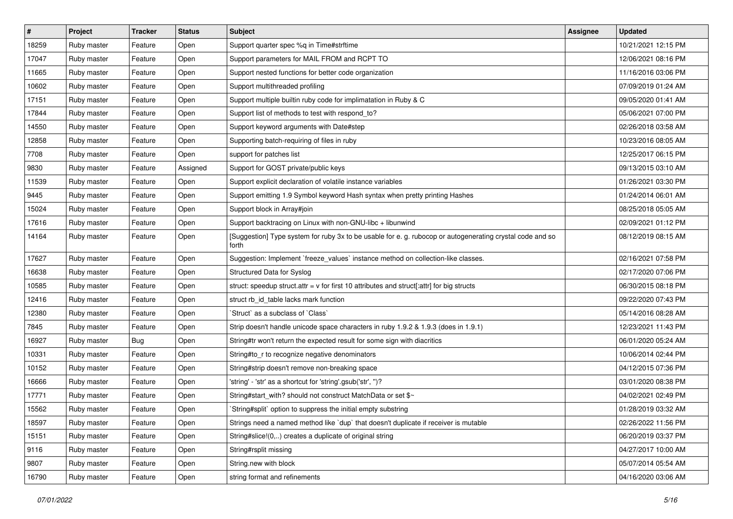| $\vert$ # | Project     | <b>Tracker</b> | <b>Status</b> | Subject                                                                                                            | <b>Assignee</b> | <b>Updated</b>      |
|-----------|-------------|----------------|---------------|--------------------------------------------------------------------------------------------------------------------|-----------------|---------------------|
| 18259     | Ruby master | Feature        | Open          | Support quarter spec %q in Time#strftime                                                                           |                 | 10/21/2021 12:15 PM |
| 17047     | Ruby master | Feature        | Open          | Support parameters for MAIL FROM and RCPT TO                                                                       |                 | 12/06/2021 08:16 PM |
| 11665     | Ruby master | Feature        | Open          | Support nested functions for better code organization                                                              |                 | 11/16/2016 03:06 PM |
| 10602     | Ruby master | Feature        | Open          | Support multithreaded profiling                                                                                    |                 | 07/09/2019 01:24 AM |
| 17151     | Ruby master | Feature        | Open          | Support multiple builtin ruby code for implimatation in Ruby & C                                                   |                 | 09/05/2020 01:41 AM |
| 17844     | Ruby master | Feature        | Open          | Support list of methods to test with respond_to?                                                                   |                 | 05/06/2021 07:00 PM |
| 14550     | Ruby master | Feature        | Open          | Support keyword arguments with Date#step                                                                           |                 | 02/26/2018 03:58 AM |
| 12858     | Ruby master | Feature        | Open          | Supporting batch-requiring of files in ruby                                                                        |                 | 10/23/2016 08:05 AM |
| 7708      | Ruby master | Feature        | Open          | support for patches list                                                                                           |                 | 12/25/2017 06:15 PM |
| 9830      | Ruby master | Feature        | Assigned      | Support for GOST private/public keys                                                                               |                 | 09/13/2015 03:10 AM |
| 11539     | Ruby master | Feature        | Open          | Support explicit declaration of volatile instance variables                                                        |                 | 01/26/2021 03:30 PM |
| 9445      | Ruby master | Feature        | Open          | Support emitting 1.9 Symbol keyword Hash syntax when pretty printing Hashes                                        |                 | 01/24/2014 06:01 AM |
| 15024     | Ruby master | Feature        | Open          | Support block in Array#join                                                                                        |                 | 08/25/2018 05:05 AM |
| 17616     | Ruby master | Feature        | Open          | Support backtracing on Linux with non-GNU-libc + libunwind                                                         |                 | 02/09/2021 01:12 PM |
| 14164     | Ruby master | Feature        | Open          | [Suggestion] Type system for ruby 3x to be usable for e. g. rubocop or autogenerating crystal code and so<br>forth |                 | 08/12/2019 08:15 AM |
| 17627     | Ruby master | Feature        | Open          | Suggestion: Implement `freeze_values` instance method on collection-like classes.                                  |                 | 02/16/2021 07:58 PM |
| 16638     | Ruby master | Feature        | Open          | Structured Data for Syslog                                                                                         |                 | 02/17/2020 07:06 PM |
| 10585     | Ruby master | Feature        | Open          | struct: speedup struct.attr = $v$ for first 10 attributes and struct[:attr] for big structs                        |                 | 06/30/2015 08:18 PM |
| 12416     | Ruby master | Feature        | Open          | struct rb_id_table lacks mark function                                                                             |                 | 09/22/2020 07:43 PM |
| 12380     | Ruby master | Feature        | Open          | Struct` as a subclass of `Class`                                                                                   |                 | 05/14/2016 08:28 AM |
| 7845      | Ruby master | Feature        | Open          | Strip doesn't handle unicode space characters in ruby 1.9.2 & 1.9.3 (does in 1.9.1)                                |                 | 12/23/2021 11:43 PM |
| 16927     | Ruby master | Bug            | Open          | String#tr won't return the expected result for some sign with diacritics                                           |                 | 06/01/2020 05:24 AM |
| 10331     | Ruby master | Feature        | Open          | String#to_r to recognize negative denominators                                                                     |                 | 10/06/2014 02:44 PM |
| 10152     | Ruby master | Feature        | Open          | String#strip doesn't remove non-breaking space                                                                     |                 | 04/12/2015 07:36 PM |
| 16666     | Ruby master | Feature        | Open          | 'string' - 'str' as a shortcut for 'string'.gsub('str', ")?                                                        |                 | 03/01/2020 08:38 PM |
| 17771     | Ruby master | Feature        | Open          | String#start_with? should not construct MatchData or set \$~                                                       |                 | 04/02/2021 02:49 PM |
| 15562     | Ruby master | Feature        | Open          | String#split` option to suppress the initial empty substring                                                       |                 | 01/28/2019 03:32 AM |
| 18597     | Ruby master | Feature        | Open          | Strings need a named method like `dup` that doesn't duplicate if receiver is mutable                               |                 | 02/26/2022 11:56 PM |
| 15151     | Ruby master | Feature        | Open          | String#slice!(0,) creates a duplicate of original string                                                           |                 | 06/20/2019 03:37 PM |
| 9116      | Ruby master | Feature        | Open          | String#rsplit missing                                                                                              |                 | 04/27/2017 10:00 AM |
| 9807      | Ruby master | Feature        | Open          | String.new with block                                                                                              |                 | 05/07/2014 05:54 AM |
| 16790     | Ruby master | Feature        | Open          | string format and refinements                                                                                      |                 | 04/16/2020 03:06 AM |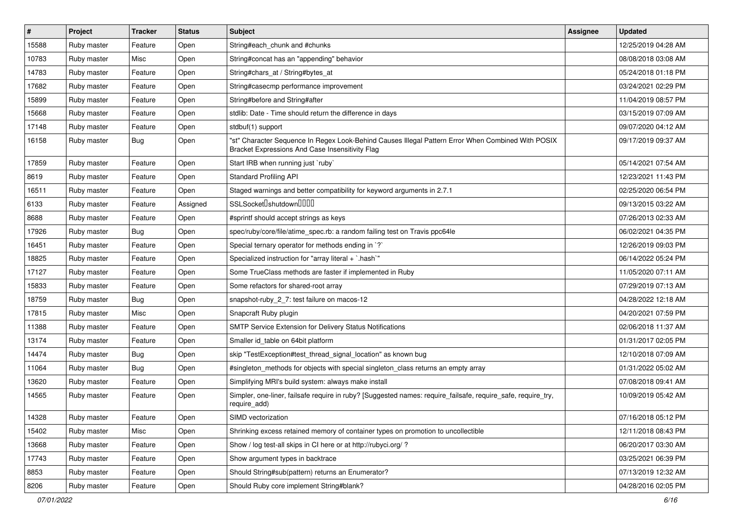| $\vert$ # | Project     | <b>Tracker</b> | <b>Status</b> | Subject                                                                                                                                               | <b>Assignee</b> | <b>Updated</b>      |
|-----------|-------------|----------------|---------------|-------------------------------------------------------------------------------------------------------------------------------------------------------|-----------------|---------------------|
| 15588     | Ruby master | Feature        | Open          | String#each_chunk and #chunks                                                                                                                         |                 | 12/25/2019 04:28 AM |
| 10783     | Ruby master | Misc           | Open          | String#concat has an "appending" behavior                                                                                                             |                 | 08/08/2018 03:08 AM |
| 14783     | Ruby master | Feature        | Open          | String#chars_at / String#bytes_at                                                                                                                     |                 | 05/24/2018 01:18 PM |
| 17682     | Ruby master | Feature        | Open          | String#casecmp performance improvement                                                                                                                |                 | 03/24/2021 02:29 PM |
| 15899     | Ruby master | Feature        | Open          | String#before and String#after                                                                                                                        |                 | 11/04/2019 08:57 PM |
| 15668     | Ruby master | Feature        | Open          | stdlib: Date - Time should return the difference in days                                                                                              |                 | 03/15/2019 07:09 AM |
| 17148     | Ruby master | Feature        | Open          | stdbuf(1) support                                                                                                                                     |                 | 09/07/2020 04:12 AM |
| 16158     | Ruby master | Bug            | Open          | "st" Character Sequence In Regex Look-Behind Causes Illegal Pattern Error When Combined With POSIX<br>Bracket Expressions And Case Insensitivity Flag |                 | 09/17/2019 09:37 AM |
| 17859     | Ruby master | Feature        | Open          | Start IRB when running just `ruby`                                                                                                                    |                 | 05/14/2021 07:54 AM |
| 8619      | Ruby master | Feature        | Open          | <b>Standard Profiling API</b>                                                                                                                         |                 | 12/23/2021 11:43 PM |
| 16511     | Ruby master | Feature        | Open          | Staged warnings and better compatibility for keyword arguments in 2.7.1                                                                               |                 | 02/25/2020 06:54 PM |
| 6133      | Ruby master | Feature        | Assigned      | SSLSocket <sup>[</sup> shutdown <sup>[11]</sup>                                                                                                       |                 | 09/13/2015 03:22 AM |
| 8688      | Ruby master | Feature        | Open          | #sprintf should accept strings as keys                                                                                                                |                 | 07/26/2013 02:33 AM |
| 17926     | Ruby master | Bug            | Open          | spec/ruby/core/file/atime_spec.rb: a random failing test on Travis ppc64le                                                                            |                 | 06/02/2021 04:35 PM |
| 16451     | Ruby master | Feature        | Open          | Special ternary operator for methods ending in `?`                                                                                                    |                 | 12/26/2019 09:03 PM |
| 18825     | Ruby master | Feature        | Open          | Specialized instruction for "array literal + `.hash`"                                                                                                 |                 | 06/14/2022 05:24 PM |
| 17127     | Ruby master | Feature        | Open          | Some TrueClass methods are faster if implemented in Ruby                                                                                              |                 | 11/05/2020 07:11 AM |
| 15833     | Ruby master | Feature        | Open          | Some refactors for shared-root array                                                                                                                  |                 | 07/29/2019 07:13 AM |
| 18759     | Ruby master | Bug            | Open          | snapshot-ruby_2_7: test failure on macos-12                                                                                                           |                 | 04/28/2022 12:18 AM |
| 17815     | Ruby master | Misc           | Open          | Snapcraft Ruby plugin                                                                                                                                 |                 | 04/20/2021 07:59 PM |
| 11388     | Ruby master | Feature        | Open          | SMTP Service Extension for Delivery Status Notifications                                                                                              |                 | 02/06/2018 11:37 AM |
| 13174     | Ruby master | Feature        | Open          | Smaller id_table on 64bit platform                                                                                                                    |                 | 01/31/2017 02:05 PM |
| 14474     | Ruby master | <b>Bug</b>     | Open          | skip "TestException#test thread signal location" as known bug                                                                                         |                 | 12/10/2018 07:09 AM |
| 11064     | Ruby master | Bug            | Open          | #singleton_methods for objects with special singleton_class returns an empty array                                                                    |                 | 01/31/2022 05:02 AM |
| 13620     | Ruby master | Feature        | Open          | Simplifying MRI's build system: always make install                                                                                                   |                 | 07/08/2018 09:41 AM |
| 14565     | Ruby master | Feature        | Open          | Simpler, one-liner, failsafe require in ruby? [Suggested names: require_failsafe, require_safe, require_try,<br>require_add)                          |                 | 10/09/2019 05:42 AM |
| 14328     | Ruby master | Feature        | Open          | SIMD vectorization                                                                                                                                    |                 | 07/16/2018 05:12 PM |
| 15402     | Ruby master | Misc           | Open          | Shrinking excess retained memory of container types on promotion to uncollectible                                                                     |                 | 12/11/2018 08:43 PM |
| 13668     | Ruby master | Feature        | Open          | Show / log test-all skips in CI here or at http://rubyci.org/?                                                                                        |                 | 06/20/2017 03:30 AM |
| 17743     | Ruby master | Feature        | Open          | Show argument types in backtrace                                                                                                                      |                 | 03/25/2021 06:39 PM |
| 8853      | Ruby master | Feature        | Open          | Should String#sub(pattern) returns an Enumerator?                                                                                                     |                 | 07/13/2019 12:32 AM |
| 8206      | Ruby master | Feature        | Open          | Should Ruby core implement String#blank?                                                                                                              |                 | 04/28/2016 02:05 PM |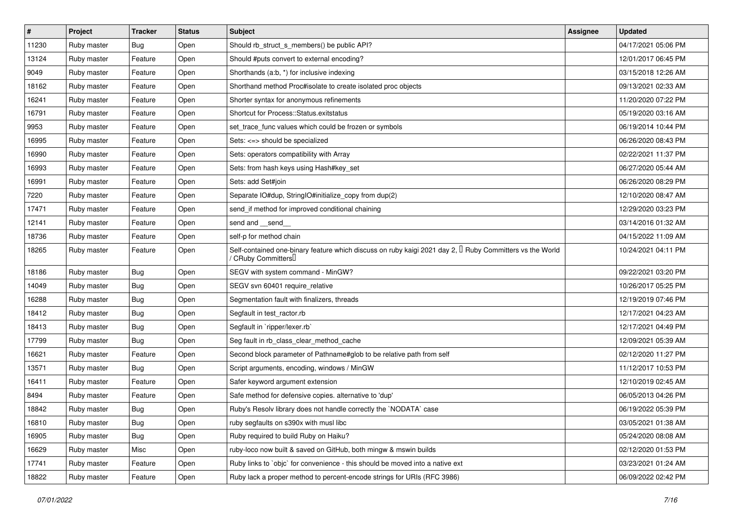| $\vert$ # | Project     | <b>Tracker</b> | <b>Status</b> | <b>Subject</b>                                                                                                                               | <b>Assignee</b> | <b>Updated</b>      |
|-----------|-------------|----------------|---------------|----------------------------------------------------------------------------------------------------------------------------------------------|-----------------|---------------------|
| 11230     | Ruby master | Bug            | Open          | Should rb_struct_s_members() be public API?                                                                                                  |                 | 04/17/2021 05:06 PM |
| 13124     | Ruby master | Feature        | Open          | Should #puts convert to external encoding?                                                                                                   |                 | 12/01/2017 06:45 PM |
| 9049      | Ruby master | Feature        | Open          | Shorthands (a:b, *) for inclusive indexing                                                                                                   |                 | 03/15/2018 12:26 AM |
| 18162     | Ruby master | Feature        | Open          | Shorthand method Proc#isolate to create isolated proc objects                                                                                |                 | 09/13/2021 02:33 AM |
| 16241     | Ruby master | Feature        | Open          | Shorter syntax for anonymous refinements                                                                                                     |                 | 11/20/2020 07:22 PM |
| 16791     | Ruby master | Feature        | Open          | Shortcut for Process::Status.exitstatus                                                                                                      |                 | 05/19/2020 03:16 AM |
| 9953      | Ruby master | Feature        | Open          | set_trace_func values which could be frozen or symbols                                                                                       |                 | 06/19/2014 10:44 PM |
| 16995     | Ruby master | Feature        | Open          | Sets: <=> should be specialized                                                                                                              |                 | 06/26/2020 08:43 PM |
| 16990     | Ruby master | Feature        | Open          | Sets: operators compatibility with Array                                                                                                     |                 | 02/22/2021 11:37 PM |
| 16993     | Ruby master | Feature        | Open          | Sets: from hash keys using Hash#key_set                                                                                                      |                 | 06/27/2020 05:44 AM |
| 16991     | Ruby master | Feature        | Open          | Sets: add Set#join                                                                                                                           |                 | 06/26/2020 08:29 PM |
| 7220      | Ruby master | Feature        | Open          | Separate IO#dup, StringIO#initialize_copy from dup(2)                                                                                        |                 | 12/10/2020 08:47 AM |
| 17471     | Ruby master | Feature        | Open          | send_if method for improved conditional chaining                                                                                             |                 | 12/29/2020 03:23 PM |
| 12141     | Ruby master | Feature        | Open          | send and __send_                                                                                                                             |                 | 03/14/2016 01:32 AM |
| 18736     | Ruby master | Feature        | Open          | self-p for method chain                                                                                                                      |                 | 04/15/2022 11:09 AM |
| 18265     | Ruby master | Feature        | Open          | Self-contained one-binary feature which discuss on ruby kaigi 2021 day 2, I Ruby Committers vs the World<br>/ CRuby Committers <sup>[]</sup> |                 | 10/24/2021 04:11 PM |
| 18186     | Ruby master | Bug            | Open          | SEGV with system command - MinGW?                                                                                                            |                 | 09/22/2021 03:20 PM |
| 14049     | Ruby master | <b>Bug</b>     | Open          | SEGV svn 60401 require_relative                                                                                                              |                 | 10/26/2017 05:25 PM |
| 16288     | Ruby master | Bug            | Open          | Segmentation fault with finalizers, threads                                                                                                  |                 | 12/19/2019 07:46 PM |
| 18412     | Ruby master | <b>Bug</b>     | Open          | Segfault in test_ractor.rb                                                                                                                   |                 | 12/17/2021 04:23 AM |
| 18413     | Ruby master | <b>Bug</b>     | Open          | Segfault in `ripper/lexer.rb`                                                                                                                |                 | 12/17/2021 04:49 PM |
| 17799     | Ruby master | <b>Bug</b>     | Open          | Seg fault in rb_class_clear_method_cache                                                                                                     |                 | 12/09/2021 05:39 AM |
| 16621     | Ruby master | Feature        | Open          | Second block parameter of Pathname#glob to be relative path from self                                                                        |                 | 02/12/2020 11:27 PM |
| 13571     | Ruby master | <b>Bug</b>     | Open          | Script arguments, encoding, windows / MinGW                                                                                                  |                 | 11/12/2017 10:53 PM |
| 16411     | Ruby master | Feature        | Open          | Safer keyword argument extension                                                                                                             |                 | 12/10/2019 02:45 AM |
| 8494      | Ruby master | Feature        | Open          | Safe method for defensive copies. alternative to 'dup'                                                                                       |                 | 06/05/2013 04:26 PM |
| 18842     | Ruby master | <b>Bug</b>     | Open          | Ruby's Resolv library does not handle correctly the `NODATA` case                                                                            |                 | 06/19/2022 05:39 PM |
| 16810     | Ruby master | <b>Bug</b>     | Open          | ruby segfaults on s390x with musl libc                                                                                                       |                 | 03/05/2021 01:38 AM |
| 16905     | Ruby master | Bug            | Open          | Ruby required to build Ruby on Haiku?                                                                                                        |                 | 05/24/2020 08:08 AM |
| 16629     | Ruby master | Misc           | Open          | ruby-loco now built & saved on GitHub, both mingw & mswin builds                                                                             |                 | 02/12/2020 01:53 PM |
| 17741     | Ruby master | Feature        | Open          | Ruby links to `objc` for convenience - this should be moved into a native ext                                                                |                 | 03/23/2021 01:24 AM |
| 18822     | Ruby master | Feature        | Open          | Ruby lack a proper method to percent-encode strings for URIs (RFC 3986)                                                                      |                 | 06/09/2022 02:42 PM |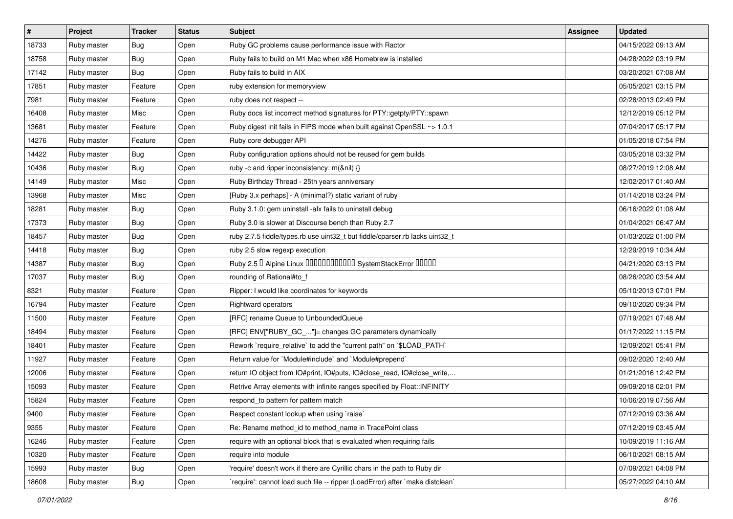| #     | Project     | <b>Tracker</b> | <b>Status</b> | Subject                                                                      | <b>Assignee</b> | <b>Updated</b>      |
|-------|-------------|----------------|---------------|------------------------------------------------------------------------------|-----------------|---------------------|
| 18733 | Ruby master | <b>Bug</b>     | Open          | Ruby GC problems cause performance issue with Ractor                         |                 | 04/15/2022 09:13 AM |
| 18758 | Ruby master | Bug            | Open          | Ruby fails to build on M1 Mac when x86 Homebrew is installed                 |                 | 04/28/2022 03:19 PM |
| 17142 | Ruby master | Bug            | Open          | Ruby fails to build in AIX                                                   |                 | 03/20/2021 07:08 AM |
| 17851 | Ruby master | Feature        | Open          | ruby extension for memoryview                                                |                 | 05/05/2021 03:15 PM |
| 7981  | Ruby master | Feature        | Open          | ruby does not respect --                                                     |                 | 02/28/2013 02:49 PM |
| 16408 | Ruby master | Misc           | Open          | Ruby docs list incorrect method signatures for PTY::getpty/PTY::spawn        |                 | 12/12/2019 05:12 PM |
| 13681 | Ruby master | Feature        | Open          | Ruby digest init fails in FIPS mode when built against OpenSSL ~> 1.0.1      |                 | 07/04/2017 05:17 PM |
| 14276 | Ruby master | Feature        | Open          | Ruby core debugger API                                                       |                 | 01/05/2018 07:54 PM |
| 14422 | Ruby master | <b>Bug</b>     | Open          | Ruby configuration options should not be reused for gem builds               |                 | 03/05/2018 03:32 PM |
| 10436 | Ruby master | Bug            | Open          | ruby -c and ripper inconsistency: m(&nil) {}                                 |                 | 08/27/2019 12:08 AM |
| 14149 | Ruby master | Misc           | Open          | Ruby Birthday Thread - 25th years anniversary                                |                 | 12/02/2017 01:40 AM |
| 13968 | Ruby master | Misc           | Open          | [Ruby 3.x perhaps] - A (minimal?) static variant of ruby                     |                 | 01/14/2018 03:24 PM |
| 18281 | Ruby master | Bug            | Open          | Ruby 3.1.0: gem uninstall -alx fails to uninstall debug                      |                 | 06/16/2022 01:08 AM |
| 17373 | Ruby master | Bug            | Open          | Ruby 3.0 is slower at Discourse bench than Ruby 2.7                          |                 | 01/04/2021 06:47 AM |
| 18457 | Ruby master | <b>Bug</b>     | Open          | ruby 2.7.5 fiddle/types.rb use uint32_t but fiddle/cparser.rb lacks uint32_t |                 | 01/03/2022 01:00 PM |
| 14418 | Ruby master | Bug            | Open          | ruby 2.5 slow regexp execution                                               |                 | 12/29/2019 10:34 AM |
| 14387 | Ruby master | Bug            | Open          | Ruby 2.5 <sup>D</sup> Alpine Linux 000000000000 SystemStackError 00000       |                 | 04/21/2020 03:13 PM |
| 17037 | Ruby master | <b>Bug</b>     | Open          | rounding of Rational#to_f                                                    |                 | 08/26/2020 03:54 AM |
| 8321  | Ruby master | Feature        | Open          | Ripper: I would like coordinates for keywords                                |                 | 05/10/2013 07:01 PM |
| 16794 | Ruby master | Feature        | Open          | Rightward operators                                                          |                 | 09/10/2020 09:34 PM |
| 11500 | Ruby master | Feature        | Open          | [RFC] rename Queue to UnboundedQueue                                         |                 | 07/19/2021 07:48 AM |
| 18494 | Ruby master | Feature        | Open          | [RFC] ENV["RUBY_GC_"]= changes GC parameters dynamically                     |                 | 01/17/2022 11:15 PM |
| 18401 | Ruby master | Feature        | Open          | Rework `require_relative` to add the "current path" on `\$LOAD_PATH`         |                 | 12/09/2021 05:41 PM |
| 11927 | Ruby master | Feature        | Open          | Return value for `Module#include` and `Module#prepend`                       |                 | 09/02/2020 12:40 AM |
| 12006 | Ruby master | Feature        | Open          | return IO object from IO#print, IO#puts, IO#close_read, IO#close_write,      |                 | 01/21/2016 12:42 PM |
| 15093 | Ruby master | Feature        | Open          | Retrive Array elements with infinite ranges specified by Float::INFINITY     |                 | 09/09/2018 02:01 PM |
| 15824 | Ruby master | Feature        | Open          | respond_to pattern for pattern match                                         |                 | 10/06/2019 07:56 AM |
| 9400  | Ruby master | Feature        | Open          | Respect constant lookup when using `raise`                                   |                 | 07/12/2019 03:36 AM |
| 9355  | Ruby master | Feature        | Open          | Re: Rename method_id to method_name in TracePoint class                      |                 | 07/12/2019 03:45 AM |
| 16246 | Ruby master | Feature        | Open          | require with an optional block that is evaluated when requiring fails        |                 | 10/09/2019 11:16 AM |
| 10320 | Ruby master | Feature        | Open          | require into module                                                          |                 | 06/10/2021 08:15 AM |
| 15993 | Ruby master | <b>Bug</b>     | Open          | 'require' doesn't work if there are Cyrillic chars in the path to Ruby dir   |                 | 07/09/2021 04:08 PM |
| 18608 | Ruby master | <b>Bug</b>     | Open          | require': cannot load such file -- ripper (LoadError) after `make distclean` |                 | 05/27/2022 04:10 AM |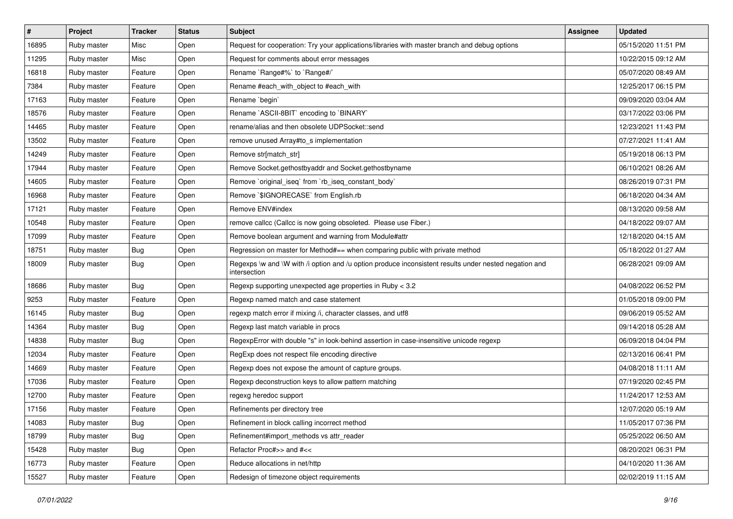| $\vert$ # | Project     | <b>Tracker</b> | <b>Status</b> | <b>Subject</b>                                                                                                        | <b>Assignee</b> | <b>Updated</b>      |
|-----------|-------------|----------------|---------------|-----------------------------------------------------------------------------------------------------------------------|-----------------|---------------------|
| 16895     | Ruby master | Misc           | Open          | Request for cooperation: Try your applications/libraries with master branch and debug options                         |                 | 05/15/2020 11:51 PM |
| 11295     | Ruby master | Misc           | Open          | Request for comments about error messages                                                                             |                 | 10/22/2015 09:12 AM |
| 16818     | Ruby master | Feature        | Open          | Rename `Range#%` to `Range#/`                                                                                         |                 | 05/07/2020 08:49 AM |
| 7384      | Ruby master | Feature        | Open          | Rename #each_with_object to #each_with                                                                                |                 | 12/25/2017 06:15 PM |
| 17163     | Ruby master | Feature        | Open          | Rename 'begin'                                                                                                        |                 | 09/09/2020 03:04 AM |
| 18576     | Ruby master | Feature        | Open          | Rename `ASCII-8BIT` encoding to `BINARY`                                                                              |                 | 03/17/2022 03:06 PM |
| 14465     | Ruby master | Feature        | Open          | rename/alias and then obsolete UDPSocket::send                                                                        |                 | 12/23/2021 11:43 PM |
| 13502     | Ruby master | Feature        | Open          | remove unused Array#to_s implementation                                                                               |                 | 07/27/2021 11:41 AM |
| 14249     | Ruby master | Feature        | Open          | Remove str[match_str]                                                                                                 |                 | 05/19/2018 06:13 PM |
| 17944     | Ruby master | Feature        | Open          | Remove Socket.gethostbyaddr and Socket.gethostbyname                                                                  |                 | 06/10/2021 08:26 AM |
| 14605     | Ruby master | Feature        | Open          | Remove `original_iseq` from `rb_iseq_constant_body`                                                                   |                 | 08/26/2019 07:31 PM |
| 16968     | Ruby master | Feature        | Open          | Remove `\$IGNORECASE` from English.rb                                                                                 |                 | 06/18/2020 04:34 AM |
| 17121     | Ruby master | Feature        | Open          | Remove ENV#index                                                                                                      |                 | 08/13/2020 09:58 AM |
| 10548     | Ruby master | Feature        | Open          | remove callcc (Callcc is now going obsoleted. Please use Fiber.)                                                      |                 | 04/18/2022 09:07 AM |
| 17099     | Ruby master | Feature        | Open          | Remove boolean argument and warning from Module#attr                                                                  |                 | 12/18/2020 04:15 AM |
| 18751     | Ruby master | <b>Bug</b>     | Open          | Regression on master for Method#== when comparing public with private method                                          |                 | 05/18/2022 01:27 AM |
| 18009     | Ruby master | <b>Bug</b>     | Open          | Regexps \w and \W with /i option and /u option produce inconsistent results under nested negation and<br>intersection |                 | 06/28/2021 09:09 AM |
| 18686     | Ruby master | Bug            | Open          | Regexp supporting unexpected age properties in Ruby < 3.2                                                             |                 | 04/08/2022 06:52 PM |
| 9253      | Ruby master | Feature        | Open          | Regexp named match and case statement                                                                                 |                 | 01/05/2018 09:00 PM |
| 16145     | Ruby master | <b>Bug</b>     | Open          | regexp match error if mixing /i, character classes, and utf8                                                          |                 | 09/06/2019 05:52 AM |
| 14364     | Ruby master | <b>Bug</b>     | Open          | Regexp last match variable in procs                                                                                   |                 | 09/14/2018 05:28 AM |
| 14838     | Ruby master | Bug            | Open          | RegexpError with double "s" in look-behind assertion in case-insensitive unicode regexp                               |                 | 06/09/2018 04:04 PM |
| 12034     | Ruby master | Feature        | Open          | RegExp does not respect file encoding directive                                                                       |                 | 02/13/2016 06:41 PM |
| 14669     | Ruby master | Feature        | Open          | Regexp does not expose the amount of capture groups.                                                                  |                 | 04/08/2018 11:11 AM |
| 17036     | Ruby master | Feature        | Open          | Regexp deconstruction keys to allow pattern matching                                                                  |                 | 07/19/2020 02:45 PM |
| 12700     | Ruby master | Feature        | Open          | regexg heredoc support                                                                                                |                 | 11/24/2017 12:53 AM |
| 17156     | Ruby master | Feature        | Open          | Refinements per directory tree                                                                                        |                 | 12/07/2020 05:19 AM |
| 14083     | Ruby master | <b>Bug</b>     | Open          | Refinement in block calling incorrect method                                                                          |                 | 11/05/2017 07:36 PM |
| 18799     | Ruby master | <b>Bug</b>     | Open          | Refinement#import_methods vs attr_reader                                                                              |                 | 05/25/2022 06:50 AM |
| 15428     | Ruby master | i Bug          | Open          | Refactor Proc#>> and #<<                                                                                              |                 | 08/20/2021 06:31 PM |
| 16773     | Ruby master | Feature        | Open          | Reduce allocations in net/http                                                                                        |                 | 04/10/2020 11:36 AM |
| 15527     | Ruby master | Feature        | Open          | Redesign of timezone object requirements                                                                              |                 | 02/02/2019 11:15 AM |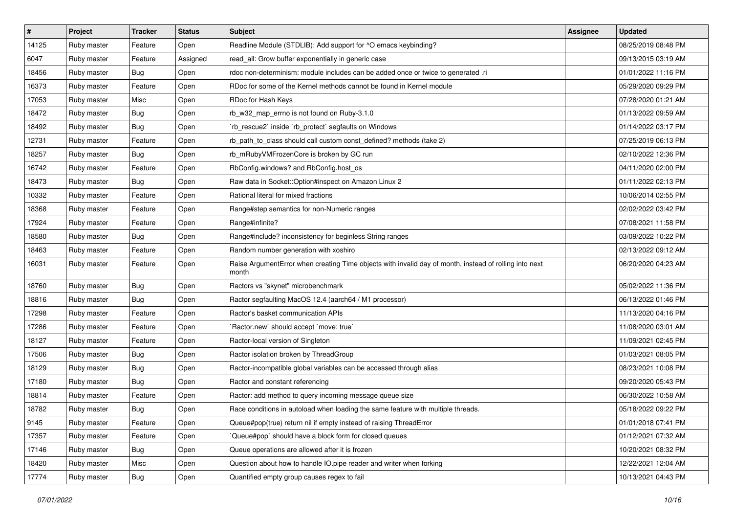| $\vert$ # | Project     | <b>Tracker</b> | <b>Status</b> | <b>Subject</b>                                                                                                  | <b>Assignee</b> | <b>Updated</b>      |
|-----------|-------------|----------------|---------------|-----------------------------------------------------------------------------------------------------------------|-----------------|---------------------|
| 14125     | Ruby master | Feature        | Open          | Readline Module (STDLIB): Add support for ^O emacs keybinding?                                                  |                 | 08/25/2019 08:48 PM |
| 6047      | Ruby master | Feature        | Assigned      | read_all: Grow buffer exponentially in generic case                                                             |                 | 09/13/2015 03:19 AM |
| 18456     | Ruby master | <b>Bug</b>     | Open          | rdoc non-determinism: module includes can be added once or twice to generated .ri                               |                 | 01/01/2022 11:16 PM |
| 16373     | Ruby master | Feature        | Open          | RDoc for some of the Kernel methods cannot be found in Kernel module                                            |                 | 05/29/2020 09:29 PM |
| 17053     | Ruby master | Misc           | Open          | RDoc for Hash Keys                                                                                              |                 | 07/28/2020 01:21 AM |
| 18472     | Ruby master | <b>Bug</b>     | Open          | rb_w32_map_errno is not found on Ruby-3.1.0                                                                     |                 | 01/13/2022 09:59 AM |
| 18492     | Ruby master | <b>Bug</b>     | Open          | rb_rescue2` inside `rb_protect` segfaults on Windows                                                            |                 | 01/14/2022 03:17 PM |
| 12731     | Ruby master | Feature        | Open          | rb_path_to_class should call custom const_defined? methods (take 2)                                             |                 | 07/25/2019 06:13 PM |
| 18257     | Ruby master | Bug            | Open          | rb_mRubyVMFrozenCore is broken by GC run                                                                        |                 | 02/10/2022 12:36 PM |
| 16742     | Ruby master | Feature        | Open          | RbConfig.windows? and RbConfig.host_os                                                                          |                 | 04/11/2020 02:00 PM |
| 18473     | Ruby master | <b>Bug</b>     | Open          | Raw data in Socket::Option#inspect on Amazon Linux 2                                                            |                 | 01/11/2022 02:13 PM |
| 10332     | Ruby master | Feature        | Open          | Rational literal for mixed fractions                                                                            |                 | 10/06/2014 02:55 PM |
| 18368     | Ruby master | Feature        | Open          | Range#step semantics for non-Numeric ranges                                                                     |                 | 02/02/2022 03:42 PM |
| 17924     | Ruby master | Feature        | Open          | Range#infinite?                                                                                                 |                 | 07/08/2021 11:58 PM |
| 18580     | Ruby master | <b>Bug</b>     | Open          | Range#include? inconsistency for beginless String ranges                                                        |                 | 03/09/2022 10:22 PM |
| 18463     | Ruby master | Feature        | Open          | Random number generation with xoshiro                                                                           |                 | 02/13/2022 09:12 AM |
| 16031     | Ruby master | Feature        | Open          | Raise ArgumentError when creating Time objects with invalid day of month, instead of rolling into next<br>month |                 | 06/20/2020 04:23 AM |
| 18760     | Ruby master | <b>Bug</b>     | Open          | Ractors vs "skynet" microbenchmark                                                                              |                 | 05/02/2022 11:36 PM |
| 18816     | Ruby master | <b>Bug</b>     | Open          | Ractor segfaulting MacOS 12.4 (aarch64 / M1 processor)                                                          |                 | 06/13/2022 01:46 PM |
| 17298     | Ruby master | Feature        | Open          | Ractor's basket communication APIs                                                                              |                 | 11/13/2020 04:16 PM |
| 17286     | Ruby master | Feature        | Open          | Ractor.new' should accept 'move: true'                                                                          |                 | 11/08/2020 03:01 AM |
| 18127     | Ruby master | Feature        | Open          | Ractor-local version of Singleton                                                                               |                 | 11/09/2021 02:45 PM |
| 17506     | Ruby master | <b>Bug</b>     | Open          | Ractor isolation broken by ThreadGroup                                                                          |                 | 01/03/2021 08:05 PM |
| 18129     | Ruby master | <b>Bug</b>     | Open          | Ractor-incompatible global variables can be accessed through alias                                              |                 | 08/23/2021 10:08 PM |
| 17180     | Ruby master | <b>Bug</b>     | Open          | Ractor and constant referencing                                                                                 |                 | 09/20/2020 05:43 PM |
| 18814     | Ruby master | Feature        | Open          | Ractor: add method to query incoming message queue size                                                         |                 | 06/30/2022 10:58 AM |
| 18782     | Ruby master | Bug            | Open          | Race conditions in autoload when loading the same feature with multiple threads.                                |                 | 05/18/2022 09:22 PM |
| 9145      | Ruby master | Feature        | Open          | Queue#pop(true) return nil if empty instead of raising ThreadError                                              |                 | 01/01/2018 07:41 PM |
| 17357     | Ruby master | Feature        | Open          | Queue#pop` should have a block form for closed queues                                                           |                 | 01/12/2021 07:32 AM |
| 17146     | Ruby master | <b>Bug</b>     | Open          | Queue operations are allowed after it is frozen                                                                 |                 | 10/20/2021 08:32 PM |
| 18420     | Ruby master | Misc           | Open          | Question about how to handle IO.pipe reader and writer when forking                                             |                 | 12/22/2021 12:04 AM |
| 17774     | Ruby master | Bug            | Open          | Quantified empty group causes regex to fail                                                                     |                 | 10/13/2021 04:43 PM |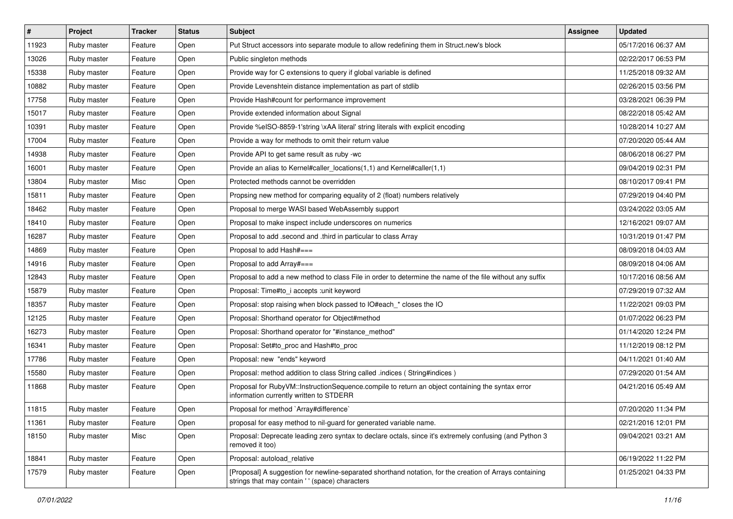| $\vert$ # | Project     | <b>Tracker</b> | <b>Status</b> | <b>Subject</b>                                                                                                                                            | Assignee | <b>Updated</b>      |
|-----------|-------------|----------------|---------------|-----------------------------------------------------------------------------------------------------------------------------------------------------------|----------|---------------------|
| 11923     | Ruby master | Feature        | Open          | Put Struct accessors into separate module to allow redefining them in Struct.new's block                                                                  |          | 05/17/2016 06:37 AM |
| 13026     | Ruby master | Feature        | Open          | Public singleton methods                                                                                                                                  |          | 02/22/2017 06:53 PM |
| 15338     | Ruby master | Feature        | Open          | Provide way for C extensions to query if global variable is defined                                                                                       |          | 11/25/2018 09:32 AM |
| 10882     | Ruby master | Feature        | Open          | Provide Levenshtein distance implementation as part of stdlib                                                                                             |          | 02/26/2015 03:56 PM |
| 17758     | Ruby master | Feature        | Open          | Provide Hash#count for performance improvement                                                                                                            |          | 03/28/2021 06:39 PM |
| 15017     | Ruby master | Feature        | Open          | Provide extended information about Signal                                                                                                                 |          | 08/22/2018 05:42 AM |
| 10391     | Ruby master | Feature        | Open          | Provide %eISO-8859-1'string \xAA literal' string literals with explicit encoding                                                                          |          | 10/28/2014 10:27 AM |
| 17004     | Ruby master | Feature        | Open          | Provide a way for methods to omit their return value                                                                                                      |          | 07/20/2020 05:44 AM |
| 14938     | Ruby master | Feature        | Open          | Provide API to get same result as ruby -wc                                                                                                                |          | 08/06/2018 06:27 PM |
| 16001     | Ruby master | Feature        | Open          | Provide an alias to Kernel#caller_locations(1,1) and Kernel#caller(1,1)                                                                                   |          | 09/04/2019 02:31 PM |
| 13804     | Ruby master | Misc           | Open          | Protected methods cannot be overridden                                                                                                                    |          | 08/10/2017 09:41 PM |
| 15811     | Ruby master | Feature        | Open          | Propsing new method for comparing equality of 2 (float) numbers relatively                                                                                |          | 07/29/2019 04:40 PM |
| 18462     | Ruby master | Feature        | Open          | Proposal to merge WASI based WebAssembly support                                                                                                          |          | 03/24/2022 03:05 AM |
| 18410     | Ruby master | Feature        | Open          | Proposal to make inspect include underscores on numerics                                                                                                  |          | 12/16/2021 09:07 AM |
| 16287     | Ruby master | Feature        | Open          | Proposal to add .second and .third in particular to class Array                                                                                           |          | 10/31/2019 01:47 PM |
| 14869     | Ruby master | Feature        | Open          | Proposal to add Hash#===                                                                                                                                  |          | 08/09/2018 04:03 AM |
| 14916     | Ruby master | Feature        | Open          | Proposal to add Array#===                                                                                                                                 |          | 08/09/2018 04:06 AM |
| 12843     | Ruby master | Feature        | Open          | Proposal to add a new method to class File in order to determine the name of the file without any suffix                                                  |          | 10/17/2016 08:56 AM |
| 15879     | Ruby master | Feature        | Open          | Proposal: Time#to i accepts : unit keyword                                                                                                                |          | 07/29/2019 07:32 AM |
| 18357     | Ruby master | Feature        | Open          | Proposal: stop raising when block passed to IO#each_* closes the IO                                                                                       |          | 11/22/2021 09:03 PM |
| 12125     | Ruby master | Feature        | Open          | Proposal: Shorthand operator for Object#method                                                                                                            |          | 01/07/2022 06:23 PM |
| 16273     | Ruby master | Feature        | Open          | Proposal: Shorthand operator for "#instance_method"                                                                                                       |          | 01/14/2020 12:24 PM |
| 16341     | Ruby master | Feature        | Open          | Proposal: Set#to_proc and Hash#to_proc                                                                                                                    |          | 11/12/2019 08:12 PM |
| 17786     | Ruby master | Feature        | Open          | Proposal: new "ends" keyword                                                                                                                              |          | 04/11/2021 01:40 AM |
| 15580     | Ruby master | Feature        | Open          | Proposal: method addition to class String called .indices (String#indices)                                                                                |          | 07/29/2020 01:54 AM |
| 11868     | Ruby master | Feature        | Open          | Proposal for RubyVM::InstructionSequence.compile to return an object containing the syntax error<br>information currently written to STDERR               |          | 04/21/2016 05:49 AM |
| 11815     | Ruby master | Feature        | Open          | Proposal for method `Array#difference`                                                                                                                    |          | 07/20/2020 11:34 PM |
| 11361     | Ruby master | Feature        | Open          | proposal for easy method to nil-guard for generated variable name.                                                                                        |          | 02/21/2016 12:01 PM |
| 18150     | Ruby master | Misc           | Open          | Proposal: Deprecate leading zero syntax to declare octals, since it's extremely confusing (and Python 3<br>removed it too)                                |          | 09/04/2021 03:21 AM |
| 18841     | Ruby master | Feature        | Open          | Proposal: autoload_relative                                                                                                                               |          | 06/19/2022 11:22 PM |
| 17579     | Ruby master | Feature        | Open          | [Proposal] A suggestion for newline-separated shorthand notation, for the creation of Arrays containing<br>strings that may contain '' (space) characters |          | 01/25/2021 04:33 PM |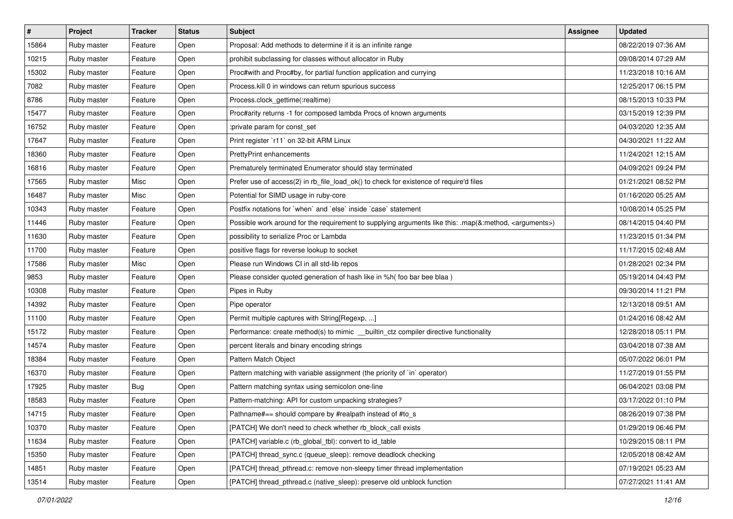| $\vert$ # | Project     | <b>Tracker</b> | <b>Status</b> | <b>Subject</b>                                                                                                     | <b>Assignee</b> | <b>Updated</b>      |
|-----------|-------------|----------------|---------------|--------------------------------------------------------------------------------------------------------------------|-----------------|---------------------|
| 15864     | Ruby master | Feature        | Open          | Proposal: Add methods to determine if it is an infinite range                                                      |                 | 08/22/2019 07:36 AM |
| 10215     | Ruby master | Feature        | Open          | prohibit subclassing for classes without allocator in Ruby                                                         |                 | 09/08/2014 07:29 AM |
| 15302     | Ruby master | Feature        | Open          | Proc#with and Proc#by, for partial function application and currying                                               |                 | 11/23/2018 10:16 AM |
| 7082      | Ruby master | Feature        | Open          | Process.kill 0 in windows can return spurious success                                                              |                 | 12/25/2017 06:15 PM |
| 8786      | Ruby master | Feature        | Open          | Process.clock_gettime(:realtime)                                                                                   |                 | 08/15/2013 10:33 PM |
| 15477     | Ruby master | Feature        | Open          | Proc#arity returns -1 for composed lambda Procs of known arguments                                                 |                 | 03/15/2019 12:39 PM |
| 16752     | Ruby master | Feature        | Open          | :private param for const set                                                                                       |                 | 04/03/2020 12:35 AM |
| 17647     | Ruby master | Feature        | Open          | Print register `r11` on 32-bit ARM Linux                                                                           |                 | 04/30/2021 11:22 AM |
| 18360     | Ruby master | Feature        | Open          | <b>PrettyPrint enhancements</b>                                                                                    |                 | 11/24/2021 12:15 AM |
| 16816     | Ruby master | Feature        | Open          | Prematurely terminated Enumerator should stay terminated                                                           |                 | 04/09/2021 09:24 PM |
| 17565     | Ruby master | Misc           | Open          | Prefer use of access(2) in rb_file_load_ok() to check for existence of require'd files                             |                 | 01/21/2021 08:52 PM |
| 16487     | Ruby master | Misc           | Open          | Potential for SIMD usage in ruby-core                                                                              |                 | 01/16/2020 05:25 AM |
| 10343     | Ruby master | Feature        | Open          | Postfix notations for 'when' and 'else' inside 'case' statement                                                    |                 | 10/08/2014 05:25 PM |
| 11446     | Ruby master | Feature        | Open          | Possible work around for the requirement to supplying arguments like this: .map(&:method, <arguments>)</arguments> |                 | 08/14/2015 04:40 PM |
| 11630     | Ruby master | Feature        | Open          | possibility to serialize Proc or Lambda                                                                            |                 | 11/23/2015 01:34 PM |
| 11700     | Ruby master | Feature        | Open          | positive flags for reverse lookup to socket                                                                        |                 | 11/17/2015 02:48 AM |
| 17586     | Ruby master | Misc           | Open          | Please run Windows CI in all std-lib repos                                                                         |                 | 01/28/2021 02:34 PM |
| 9853      | Ruby master | Feature        | Open          | Please consider quoted generation of hash like in %h( foo bar bee blaa )                                           |                 | 05/19/2014 04:43 PM |
| 10308     | Ruby master | Feature        | Open          | Pipes in Ruby                                                                                                      |                 | 09/30/2014 11:21 PM |
| 14392     | Ruby master | Feature        | Open          | Pipe operator                                                                                                      |                 | 12/13/2018 09:51 AM |
| 11100     | Ruby master | Feature        | Open          | Permit multiple captures with String[Regexp, ]                                                                     |                 | 01/24/2016 08:42 AM |
| 15172     | Ruby master | Feature        | Open          | Performance: create method(s) to mimic __builtin_ctz compiler directive functionality                              |                 | 12/28/2018 05:11 PM |
| 14574     | Ruby master | Feature        | Open          | percent literals and binary encoding strings                                                                       |                 | 03/04/2018 07:38 AM |
| 18384     | Ruby master | Feature        | Open          | Pattern Match Object                                                                                               |                 | 05/07/2022 06:01 PM |
| 16370     | Ruby master | Feature        | Open          | Pattern matching with variable assignment (the priority of `in` operator)                                          |                 | 11/27/2019 01:55 PM |
| 17925     | Ruby master | <b>Bug</b>     | Open          | Pattern matching syntax using semicolon one-line                                                                   |                 | 06/04/2021 03:08 PM |
| 18583     | Ruby master | Feature        | Open          | Pattern-matching: API for custom unpacking strategies?                                                             |                 | 03/17/2022 01:10 PM |
| 14715     | Ruby master | Feature        | Open          | Pathname#== should compare by #realpath instead of #to_s                                                           |                 | 08/26/2019 07:38 PM |
| 10370     | Ruby master | Feature        | Open          | [PATCH] We don't need to check whether rb block call exists                                                        |                 | 01/29/2019 06:46 PM |
| 11634     | Ruby master | Feature        | Open          | [PATCH] variable.c (rb_global_tbl): convert to id_table                                                            |                 | 10/29/2015 08:11 PM |
| 15350     | Ruby master | Feature        | Open          | [PATCH] thread_sync.c (queue_sleep): remove deadlock checking                                                      |                 | 12/05/2018 08:42 AM |
| 14851     | Ruby master | Feature        | Open          | [PATCH] thread pthread.c: remove non-sleepy timer thread implementation                                            |                 | 07/19/2021 05:23 AM |
| 13514     | Ruby master | Feature        | Open          | [PATCH] thread_pthread.c (native_sleep): preserve old unblock function                                             |                 | 07/27/2021 11:41 AM |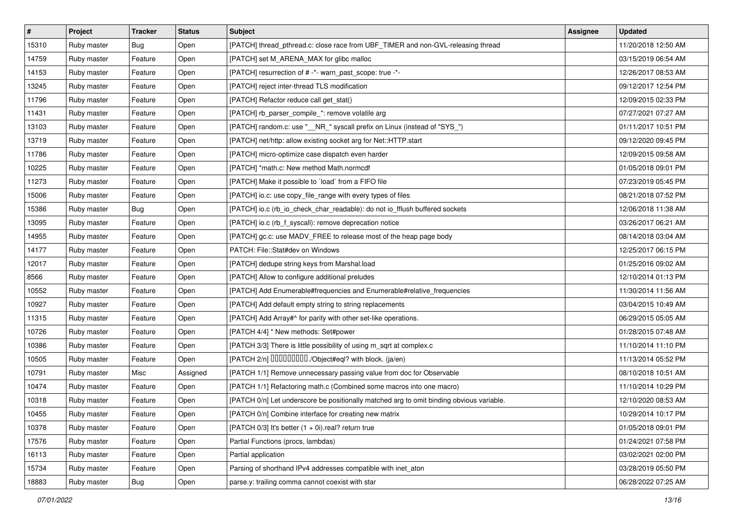| $\vert$ # | Project     | <b>Tracker</b> | <b>Status</b> | <b>Subject</b>                                                                           | <b>Assignee</b> | <b>Updated</b>      |
|-----------|-------------|----------------|---------------|------------------------------------------------------------------------------------------|-----------------|---------------------|
| 15310     | Ruby master | <b>Bug</b>     | Open          | [PATCH] thread_pthread.c: close race from UBF_TIMER and non-GVL-releasing thread         |                 | 11/20/2018 12:50 AM |
| 14759     | Ruby master | Feature        | Open          | [PATCH] set M_ARENA_MAX for glibc malloc                                                 |                 | 03/15/2019 06:54 AM |
| 14153     | Ruby master | Feature        | Open          | [PATCH] resurrection of # -*- warn_past_scope: true -*-                                  |                 | 12/26/2017 08:53 AM |
| 13245     | Ruby master | Feature        | Open          | [PATCH] reject inter-thread TLS modification                                             |                 | 09/12/2017 12:54 PM |
| 11796     | Ruby master | Feature        | Open          | [PATCH] Refactor reduce call get_stat()                                                  |                 | 12/09/2015 02:33 PM |
| 11431     | Ruby master | Feature        | Open          | [PATCH] rb_parser_compile_*: remove volatile arg                                         |                 | 07/27/2021 07:27 AM |
| 13103     | Ruby master | Feature        | Open          | [PATCH] random.c: use "__NR_" syscall prefix on Linux (instead of "SYS_")                |                 | 01/11/2017 10:51 PM |
| 13719     | Ruby master | Feature        | Open          | [PATCH] net/http: allow existing socket arg for Net::HTTP.start                          |                 | 09/12/2020 09:45 PM |
| 11786     | Ruby master | Feature        | Open          | [PATCH] micro-optimize case dispatch even harder                                         |                 | 12/09/2015 09:58 AM |
| 10225     | Ruby master | Feature        | Open          | [PATCH] *math.c: New method Math.normcdf                                                 |                 | 01/05/2018 09:01 PM |
| 11273     | Ruby master | Feature        | Open          | [PATCH] Make it possible to `load` from a FIFO file                                      |                 | 07/23/2019 05:45 PM |
| 15006     | Ruby master | Feature        | Open          | [PATCH] io.c: use copy_file_range with every types of files                              |                 | 08/21/2018 07:52 PM |
| 15386     | Ruby master | <b>Bug</b>     | Open          | [PATCH] io.c (rb_io_check_char_readable): do not io_fflush buffered sockets              |                 | 12/06/2018 11:38 AM |
| 13095     | Ruby master | Feature        | Open          | [PATCH] io.c (rb_f_syscall): remove deprecation notice                                   |                 | 03/26/2017 06:21 AM |
| 14955     | Ruby master | Feature        | Open          | [PATCH] gc.c: use MADV_FREE to release most of the heap page body                        |                 | 08/14/2018 03:04 AM |
| 14177     | Ruby master | Feature        | Open          | PATCH: File::Stat#dev on Windows                                                         |                 | 12/25/2017 06:15 PM |
| 12017     | Ruby master | Feature        | Open          | [PATCH] dedupe string keys from Marshal.load                                             |                 | 01/25/2016 09:02 AM |
| 8566      | Ruby master | Feature        | Open          | [PATCH] Allow to configure additional preludes                                           |                 | 12/10/2014 01:13 PM |
| 10552     | Ruby master | Feature        | Open          | [PATCH] Add Enumerable#frequencies and Enumerable#relative_frequencies                   |                 | 11/30/2014 11:56 AM |
| 10927     | Ruby master | Feature        | Open          | [PATCH] Add default empty string to string replacements                                  |                 | 03/04/2015 10:49 AM |
| 11315     | Ruby master | Feature        | Open          | [PATCH] Add Array#^ for parity with other set-like operations.                           |                 | 06/29/2015 05:05 AM |
| 10726     | Ruby master | Feature        | Open          | [PATCH 4/4] * New methods: Set#power                                                     |                 | 01/28/2015 07:48 AM |
| 10386     | Ruby master | Feature        | Open          | [PATCH 3/3] There is little possibility of using m_sqrt at complex.c                     |                 | 11/10/2014 11:10 PM |
| 10505     | Ruby master | Feature        | Open          | [PATCH 2/n] DDDDDDDD./Object#eql? with block. (ja/en)                                    |                 | 11/13/2014 05:52 PM |
| 10791     | Ruby master | Misc           | Assigned      | [PATCH 1/1] Remove unnecessary passing value from doc for Observable                     |                 | 08/10/2018 10:51 AM |
| 10474     | Ruby master | Feature        | Open          | [PATCH 1/1] Refactoring math.c (Combined some macros into one macro)                     |                 | 11/10/2014 10:29 PM |
| 10318     | Ruby master | Feature        | Open          | [PATCH 0/n] Let underscore be positionally matched arg to omit binding obvious variable. |                 | 12/10/2020 08:53 AM |
| 10455     | Ruby master | Feature        | Open          | [PATCH 0/n] Combine interface for creating new matrix                                    |                 | 10/29/2014 10:17 PM |
| 10378     | Ruby master | Feature        | Open          | [PATCH $0/3$ ] It's better $(1 + 0i)$ .real? return true                                 |                 | 01/05/2018 09:01 PM |
| 17576     | Ruby master | Feature        | Open          | Partial Functions (procs, lambdas)                                                       |                 | 01/24/2021 07:58 PM |
| 16113     | Ruby master | Feature        | Open          | Partial application                                                                      |                 | 03/02/2021 02:00 PM |
| 15734     | Ruby master | Feature        | Open          | Parsing of shorthand IPv4 addresses compatible with inet aton                            |                 | 03/28/2019 05:50 PM |
| 18883     | Ruby master | Bug            | Open          | parse.y: trailing comma cannot coexist with star                                         |                 | 06/28/2022 07:25 AM |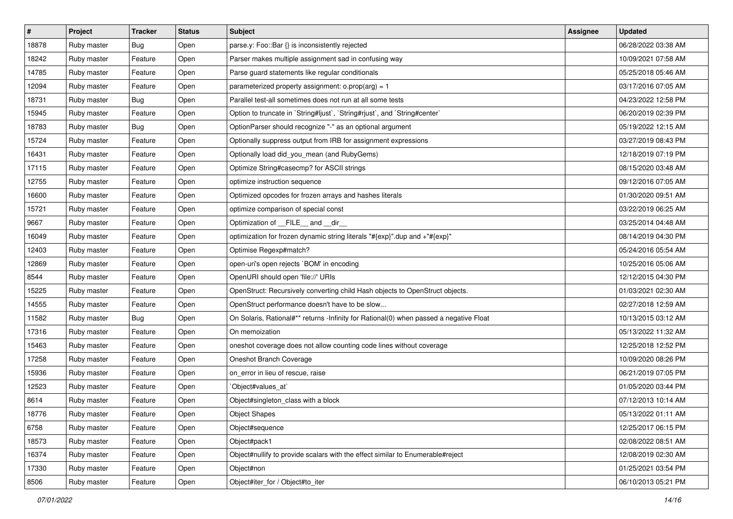| #     | Project     | <b>Tracker</b> | <b>Status</b> | <b>Subject</b>                                                                         | <b>Assignee</b> | <b>Updated</b>      |
|-------|-------------|----------------|---------------|----------------------------------------------------------------------------------------|-----------------|---------------------|
| 18878 | Ruby master | Bug            | Open          | parse.y: Foo::Bar {} is inconsistently rejected                                        |                 | 06/28/2022 03:38 AM |
| 18242 | Ruby master | Feature        | Open          | Parser makes multiple assignment sad in confusing way                                  |                 | 10/09/2021 07:58 AM |
| 14785 | Ruby master | Feature        | Open          | Parse guard statements like regular conditionals                                       |                 | 05/25/2018 05:46 AM |
| 12094 | Ruby master | Feature        | Open          | parameterized property assignment: $o.prop(arg) = 1$                                   |                 | 03/17/2016 07:05 AM |
| 18731 | Ruby master | Bug            | Open          | Parallel test-all sometimes does not run at all some tests                             |                 | 04/23/2022 12:58 PM |
| 15945 | Ruby master | Feature        | Open          | Option to truncate in `String#ljust`, `String#rjust`, and `String#center`              |                 | 06/20/2019 02:39 PM |
| 18783 | Ruby master | Bug            | Open          | OptionParser should recognize "-" as an optional argument                              |                 | 05/19/2022 12:15 AM |
| 15724 | Ruby master | Feature        | Open          | Optionally suppress output from IRB for assignment expressions                         |                 | 03/27/2019 08:43 PM |
| 16431 | Ruby master | Feature        | Open          | Optionally load did_you_mean (and RubyGems)                                            |                 | 12/18/2019 07:19 PM |
| 17115 | Ruby master | Feature        | Open          | Optimize String#casecmp? for ASCII strings                                             |                 | 08/15/2020 03:48 AM |
| 12755 | Ruby master | Feature        | Open          | optimize instruction sequence                                                          |                 | 09/12/2016 07:05 AM |
| 16600 | Ruby master | Feature        | Open          | Optimized opcodes for frozen arrays and hashes literals                                |                 | 01/30/2020 09:51 AM |
| 15721 | Ruby master | Feature        | Open          | optimize comparison of special const                                                   |                 | 03/22/2019 06:25 AM |
| 9667  | Ruby master | Feature        | Open          | Optimization of FILE and dir                                                           |                 | 03/25/2014 04:48 AM |
| 16049 | Ruby master | Feature        | Open          | optimization for frozen dynamic string literals "#{exp}".dup and +"#{exp}"             |                 | 08/14/2019 04:30 PM |
| 12403 | Ruby master | Feature        | Open          | Optimise Regexp#match?                                                                 |                 | 05/24/2016 05:54 AM |
| 12869 | Ruby master | Feature        | Open          | open-uri's open rejects `BOM' in encoding                                              |                 | 10/25/2016 05:06 AM |
| 8544  | Ruby master | Feature        | Open          | OpenURI should open 'file://' URIs                                                     |                 | 12/12/2015 04:30 PM |
| 15225 | Ruby master | Feature        | Open          | OpenStruct: Recursively converting child Hash objects to OpenStruct objects.           |                 | 01/03/2021 02:30 AM |
| 14555 | Ruby master | Feature        | Open          | OpenStruct performance doesn't have to be slow                                         |                 | 02/27/2018 12:59 AM |
| 11582 | Ruby master | Bug            | Open          | On Solaris, Rational#** returns -Infinity for Rational(0) when passed a negative Float |                 | 10/13/2015 03:12 AM |
| 17316 | Ruby master | Feature        | Open          | On memoization                                                                         |                 | 05/13/2022 11:32 AM |
| 15463 | Ruby master | Feature        | Open          | oneshot coverage does not allow counting code lines without coverage                   |                 | 12/25/2018 12:52 PM |
| 17258 | Ruby master | Feature        | Open          | Oneshot Branch Coverage                                                                |                 | 10/09/2020 08:26 PM |
| 15936 | Ruby master | Feature        | Open          | on_error in lieu of rescue, raise                                                      |                 | 06/21/2019 07:05 PM |
| 12523 | Ruby master | Feature        | Open          | `Object#values_at`                                                                     |                 | 01/05/2020 03:44 PM |
| 8614  | Ruby master | Feature        | Open          | Object#singleton_class with a block                                                    |                 | 07/12/2013 10:14 AM |
| 18776 | Ruby master | Feature        | Open          | <b>Object Shapes</b>                                                                   |                 | 05/13/2022 01:11 AM |
| 6758  | Ruby master | Feature        | Open          | Object#sequence                                                                        |                 | 12/25/2017 06:15 PM |
| 18573 | Ruby master | Feature        | Open          | Object#pack1                                                                           |                 | 02/08/2022 08:51 AM |
| 16374 | Ruby master | Feature        | Open          | Object#nullify to provide scalars with the effect similar to Enumerable#reject         |                 | 12/08/2019 02:30 AM |
| 17330 | Ruby master | Feature        | Open          | Object#non                                                                             |                 | 01/25/2021 03:54 PM |
| 8506  | Ruby master | Feature        | Open          | Object#iter_for / Object#to_iter                                                       |                 | 06/10/2013 05:21 PM |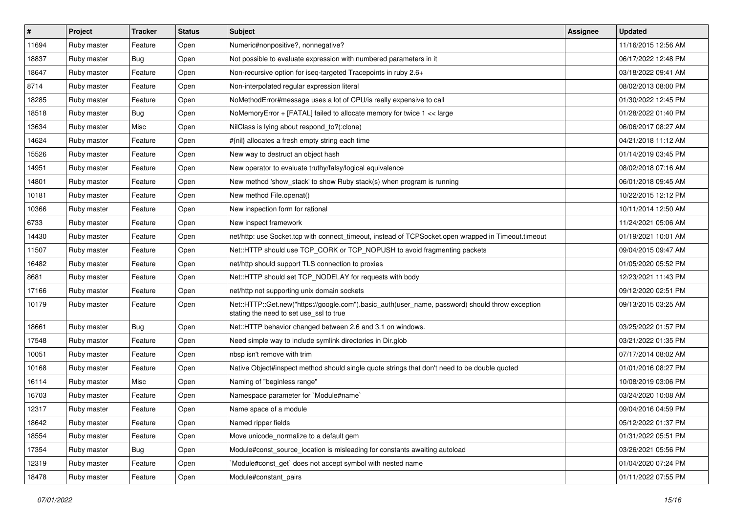| $\vert$ # | Project     | <b>Tracker</b> | <b>Status</b> | <b>Subject</b>                                                                                                                             | <b>Assignee</b> | <b>Updated</b>      |
|-----------|-------------|----------------|---------------|--------------------------------------------------------------------------------------------------------------------------------------------|-----------------|---------------------|
| 11694     | Ruby master | Feature        | Open          | Numeric#nonpositive?, nonnegative?                                                                                                         |                 | 11/16/2015 12:56 AM |
| 18837     | Ruby master | Bug            | Open          | Not possible to evaluate expression with numbered parameters in it                                                                         |                 | 06/17/2022 12:48 PM |
| 18647     | Ruby master | Feature        | Open          | Non-recursive option for iseq-targeted Tracepoints in ruby 2.6+                                                                            |                 | 03/18/2022 09:41 AM |
| 8714      | Ruby master | Feature        | Open          | Non-interpolated regular expression literal                                                                                                |                 | 08/02/2013 08:00 PM |
| 18285     | Ruby master | Feature        | Open          | NoMethodError#message uses a lot of CPU/is really expensive to call                                                                        |                 | 01/30/2022 12:45 PM |
| 18518     | Ruby master | <b>Bug</b>     | Open          | NoMemory Error $+$ [FATAL] failed to allocate memory for twice $1 <$ karge                                                                 |                 | 01/28/2022 01:40 PM |
| 13634     | Ruby master | Misc           | Open          | NilClass is lying about respond_to?(:clone)                                                                                                |                 | 06/06/2017 08:27 AM |
| 14624     | Ruby master | Feature        | Open          | #{nil} allocates a fresh empty string each time                                                                                            |                 | 04/21/2018 11:12 AM |
| 15526     | Ruby master | Feature        | Open          | New way to destruct an object hash                                                                                                         |                 | 01/14/2019 03:45 PM |
| 14951     | Ruby master | Feature        | Open          | New operator to evaluate truthy/falsy/logical equivalence                                                                                  |                 | 08/02/2018 07:16 AM |
| 14801     | Ruby master | Feature        | Open          | New method 'show stack' to show Ruby stack(s) when program is running                                                                      |                 | 06/01/2018 09:45 AM |
| 10181     | Ruby master | Feature        | Open          | New method File.openat()                                                                                                                   |                 | 10/22/2015 12:12 PM |
| 10366     | Ruby master | Feature        | Open          | New inspection form for rational                                                                                                           |                 | 10/11/2014 12:50 AM |
| 6733      | Ruby master | Feature        | Open          | New inspect framework                                                                                                                      |                 | 11/24/2021 05:06 AM |
| 14430     | Ruby master | Feature        | Open          | net/http: use Socket.tcp with connect_timeout, instead of TCPSocket.open wrapped in Timeout.timeout                                        |                 | 01/19/2021 10:01 AM |
| 11507     | Ruby master | Feature        | Open          | Net::HTTP should use TCP_CORK or TCP_NOPUSH to avoid fragmenting packets                                                                   |                 | 09/04/2015 09:47 AM |
| 16482     | Ruby master | Feature        | Open          | net/http should support TLS connection to proxies                                                                                          |                 | 01/05/2020 05:52 PM |
| 8681      | Ruby master | Feature        | Open          | Net::HTTP should set TCP_NODELAY for requests with body                                                                                    |                 | 12/23/2021 11:43 PM |
| 17166     | Ruby master | Feature        | Open          | net/http not supporting unix domain sockets                                                                                                |                 | 09/12/2020 02:51 PM |
| 10179     | Ruby master | Feature        | Open          | Net::HTTP::Get.new("https://google.com").basic_auth(user_name, password) should throw exception<br>stating the need to set use_ssl to true |                 | 09/13/2015 03:25 AM |
| 18661     | Ruby master | <b>Bug</b>     | Open          | Net::HTTP behavior changed between 2.6 and 3.1 on windows.                                                                                 |                 | 03/25/2022 01:57 PM |
| 17548     | Ruby master | Feature        | Open          | Need simple way to include symlink directories in Dir.glob                                                                                 |                 | 03/21/2022 01:35 PM |
| 10051     | Ruby master | Feature        | Open          | nbsp isn't remove with trim                                                                                                                |                 | 07/17/2014 08:02 AM |
| 10168     | Ruby master | Feature        | Open          | Native Object#inspect method should single quote strings that don't need to be double quoted                                               |                 | 01/01/2016 08:27 PM |
| 16114     | Ruby master | Misc           | Open          | Naming of "beginless range"                                                                                                                |                 | 10/08/2019 03:06 PM |
| 16703     | Ruby master | Feature        | Open          | Namespace parameter for `Module#name`                                                                                                      |                 | 03/24/2020 10:08 AM |
| 12317     | Ruby master | Feature        | Open          | Name space of a module                                                                                                                     |                 | 09/04/2016 04:59 PM |
| 18642     | Ruby master | Feature        | Open          | Named ripper fields                                                                                                                        |                 | 05/12/2022 01:37 PM |
| 18554     | Ruby master | Feature        | Open          | Move unicode_normalize to a default gem                                                                                                    |                 | 01/31/2022 05:51 PM |
| 17354     | Ruby master | <b>Bug</b>     | Open          | Module#const source location is misleading for constants awaiting autoload                                                                 |                 | 03/26/2021 05:56 PM |
| 12319     | Ruby master | Feature        | Open          | Module#const_get` does not accept symbol with nested name                                                                                  |                 | 01/04/2020 07:24 PM |
| 18478     | Ruby master | Feature        | Open          | Module#constant pairs                                                                                                                      |                 | 01/11/2022 07:55 PM |